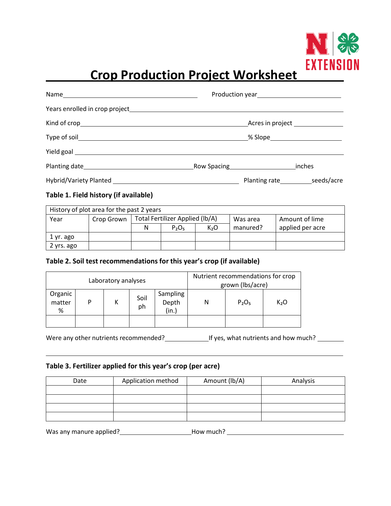

# **Crop Production Project Worksheet**

|                                     |  |  | Acres in project ______________         |
|-------------------------------------|--|--|-----------------------------------------|
|                                     |  |  | _% Slope_______________________         |
| Yield goal ________________________ |  |  |                                         |
|                                     |  |  | inches                                  |
|                                     |  |  | Planting rate________________seeds/acre |

### **Table 1. Field history (if available)**

|            | History of plot area for the past 2 years |                                 |          |     |          |                  |
|------------|-------------------------------------------|---------------------------------|----------|-----|----------|------------------|
| Year       | Crop Grown                                | Total Fertilizer Applied (lb/A) |          |     | Was area | Amount of lime   |
|            |                                           | N                               | $P_2O_5$ | K,O | manured? | applied per acre |
| 1 yr. ago  |                                           |                                 |          |     |          |                  |
| 2 yrs. ago |                                           |                                 |          |     |          |                  |

#### **Table 2. Soil test recommendations for this year's crop (if available)**

| Laboratory analyses    |   |  |            |                            |   | Nutrient recommendations for crop<br>grown (Ibs/acre) |                  |
|------------------------|---|--|------------|----------------------------|---|-------------------------------------------------------|------------------|
| Organic<br>matter<br>% | P |  | Soil<br>ph | Sampling<br>Depth<br>(in.) | N | P <sub>2</sub> O <sub>5</sub>                         | K <sub>2</sub> O |
|                        |   |  |            |                            |   |                                                       |                  |

Were any other nutrients recommended?<br>
If yes, what nutrients and how much?<br>
<u>If</u> yes, what nutrients and how much?

#### **Table 3. Fertilizer applied for this year's crop (per acre)**

| Date | Application method | Amount (lb/A) | Analysis |
|------|--------------------|---------------|----------|
|      |                    |               |          |
|      |                    |               |          |
|      |                    |               |          |
|      |                    |               |          |

Was any manure applied?\_\_\_\_\_\_\_\_\_\_\_\_\_\_\_\_\_\_\_\_\_\_\_\_\_\_How much? \_\_\_\_\_\_\_\_\_\_\_\_\_\_\_\_\_\_\_\_\_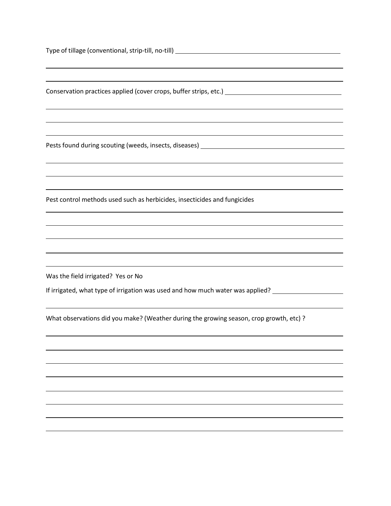Type of tillage (conventional, strip-till, no-till) Conservation practices applied (cover crops, buffer strips, etc.) \_\_\_\_\_\_\_\_\_\_\_\_\_\_ Pests found during scouting (weeds, insects, diseases) \_\_\_\_\_\_\_\_\_\_\_\_\_\_\_\_\_\_\_\_\_\_\_\_\_ Pest control methods used such as herbicides, insecticides and fungicides Was the field irrigated? Yes or No If irrigated, what type of irrigation was used and how much water was applied? \_\_\_\_\_\_\_\_\_\_\_\_\_\_\_\_\_\_\_\_\_ What observations did you make? (Weather during the growing season, crop growth, etc) ?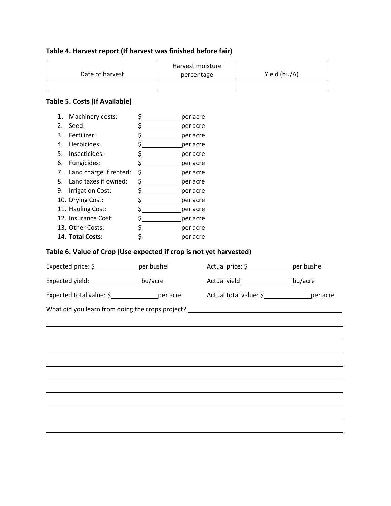## **Table 4. Harvest report (If harvest was finished before fair)**

|                 | Harvest moisture |              |
|-----------------|------------------|--------------|
| Date of harvest | percentage       | Yield (bu/A) |
|                 |                  |              |

## **Table 5. Costs (If Available)**

| 1. | Machinery costs:                                                   | $\zeta$ and $\zeta$             | per acre |                                                                                  |                                             |
|----|--------------------------------------------------------------------|---------------------------------|----------|----------------------------------------------------------------------------------|---------------------------------------------|
| 2. | Seed:                                                              | $\zeta$                         | per acre |                                                                                  |                                             |
| 3. | Fertilizer:                                                        | \$__________________per acre    |          |                                                                                  |                                             |
|    | 4. Herbicides:                                                     | \$_________________per acre     |          |                                                                                  |                                             |
|    | 5. Insecticides:                                                   | \$__________________per acre    |          |                                                                                  |                                             |
|    | 6. Fungicides:                                                     | \$ ___________________per acre  |          |                                                                                  |                                             |
|    | 7. Land charge if rented:                                          | $$$ per acre                    |          |                                                                                  |                                             |
|    | 8. Land taxes if owned:                                            | $\frac{1}{2}$ per acre          |          |                                                                                  |                                             |
|    | 9. Irrigation Cost:                                                | \$__________________per acre    |          |                                                                                  |                                             |
|    | 10. Drying Cost:                                                   | \$ __________________per acre   |          |                                                                                  |                                             |
|    | 11. Hauling Cost:                                                  | \$ ____________________per acre |          |                                                                                  |                                             |
|    | 12. Insurance Cost:                                                | \$_________________per acre     |          |                                                                                  |                                             |
|    | 13. Other Costs:                                                   | \$__________________per acre    |          |                                                                                  |                                             |
|    | 14. Total Costs:                                                   | $\sharp$ and $\sharp$           | per acre |                                                                                  |                                             |
|    | Table 6. Value of Crop (Use expected if crop is not yet harvested) |                                 |          |                                                                                  |                                             |
|    | Expected price: \$_________________per bushel                      |                                 |          |                                                                                  | Actual price: \$_________________per bushel |
|    |                                                                    |                                 |          |                                                                                  |                                             |
|    | Expected yield: _______________________bu/acre                     |                                 |          | Actual yield: bu/acre                                                            |                                             |
|    |                                                                    |                                 |          |                                                                                  |                                             |
|    |                                                                    |                                 |          |                                                                                  |                                             |
|    |                                                                    |                                 |          | What did you learn from doing the crops project? _______________________________ |                                             |
|    |                                                                    |                                 |          |                                                                                  |                                             |
|    |                                                                    |                                 |          |                                                                                  |                                             |
|    |                                                                    |                                 |          |                                                                                  |                                             |
|    |                                                                    |                                 |          |                                                                                  |                                             |
|    |                                                                    |                                 |          |                                                                                  |                                             |
|    |                                                                    |                                 |          |                                                                                  |                                             |
|    |                                                                    |                                 |          |                                                                                  |                                             |
|    |                                                                    |                                 |          |                                                                                  |                                             |
|    |                                                                    |                                 |          |                                                                                  |                                             |